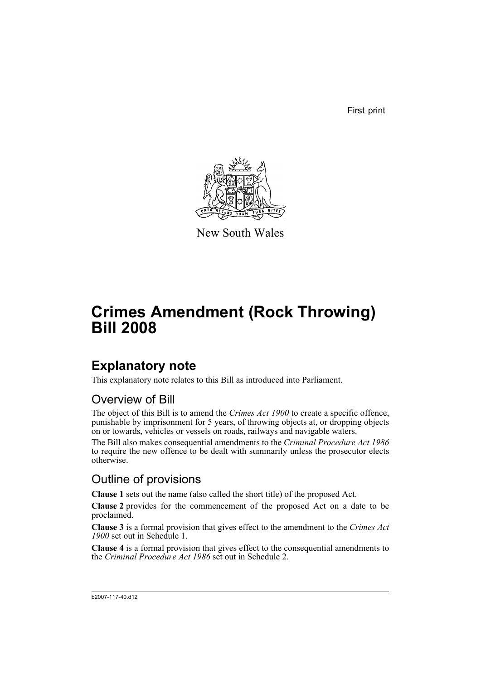First print



New South Wales

# **Crimes Amendment (Rock Throwing) Bill 2008**

## **Explanatory note**

This explanatory note relates to this Bill as introduced into Parliament.

### Overview of Bill

The object of this Bill is to amend the *Crimes Act 1900* to create a specific offence, punishable by imprisonment for 5 years, of throwing objects at, or dropping objects on or towards, vehicles or vessels on roads, railways and navigable waters.

The Bill also makes consequential amendments to the *Criminal Procedure Act 1986* to require the new offence to be dealt with summarily unless the prosecutor elects otherwise.

### Outline of provisions

**Clause 1** sets out the name (also called the short title) of the proposed Act.

**Clause 2** provides for the commencement of the proposed Act on a date to be proclaimed.

**Clause 3** is a formal provision that gives effect to the amendment to the *Crimes Act 1900* set out in Schedule 1.

**Clause 4** is a formal provision that gives effect to the consequential amendments to the *Criminal Procedure Act 1986* set out in Schedule 2.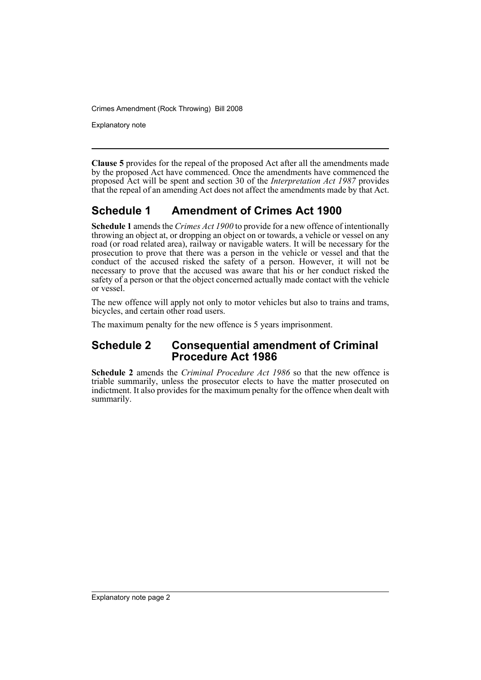Crimes Amendment (Rock Throwing) Bill 2008

Explanatory note

**Clause 5** provides for the repeal of the proposed Act after all the amendments made by the proposed Act have commenced. Once the amendments have commenced the proposed Act will be spent and section 30 of the *Interpretation Act 1987* provides that the repeal of an amending Act does not affect the amendments made by that Act.

### **Schedule 1 Amendment of Crimes Act 1900**

**Schedule 1** amends the *Crimes Act 1900* to provide for a new offence of intentionally throwing an object at, or dropping an object on or towards, a vehicle or vessel on any road (or road related area), railway or navigable waters. It will be necessary for the prosecution to prove that there was a person in the vehicle or vessel and that the conduct of the accused risked the safety of a person. However, it will not be necessary to prove that the accused was aware that his or her conduct risked the safety of a person or that the object concerned actually made contact with the vehicle or vessel.

The new offence will apply not only to motor vehicles but also to trains and trams, bicycles, and certain other road users.

The maximum penalty for the new offence is 5 years imprisonment.

#### **Schedule 2 Consequential amendment of Criminal Procedure Act 1986**

**Schedule 2** amends the *Criminal Procedure Act 1986* so that the new offence is triable summarily, unless the prosecutor elects to have the matter prosecuted on indictment. It also provides for the maximum penalty for the offence when dealt with summarily.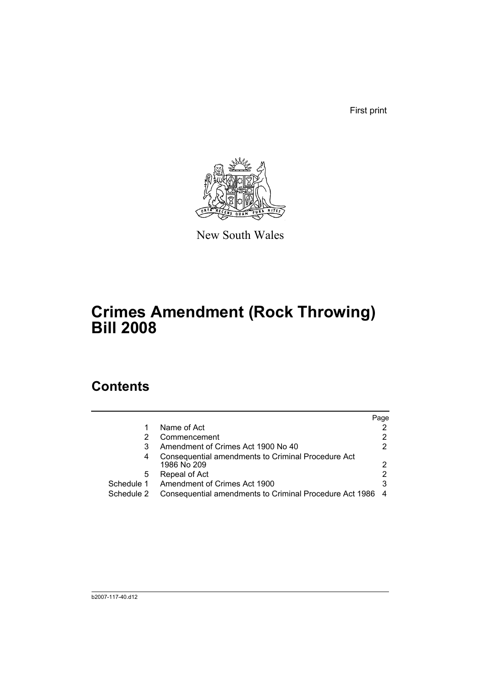First print



New South Wales

# **Crimes Amendment (Rock Throwing) Bill 2008**

## **Contents**

|            |                                                                   | Page |
|------------|-------------------------------------------------------------------|------|
|            | Name of Act                                                       |      |
|            | Commencement                                                      |      |
| 3          | Amendment of Crimes Act 1900 No 40                                | 2    |
| 4          | Consequential amendments to Criminal Procedure Act<br>1986 No 209 | 2    |
| 5          | Repeal of Act                                                     | 2    |
| Schedule 1 | Amendment of Crimes Act 1900                                      | 3    |
| Schedule 2 | Consequential amendments to Criminal Procedure Act 1986           |      |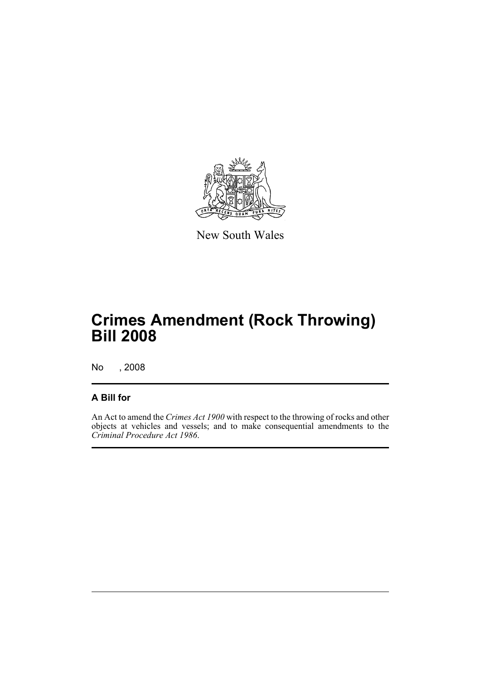

New South Wales

# **Crimes Amendment (Rock Throwing) Bill 2008**

No , 2008

#### **A Bill for**

An Act to amend the *Crimes Act 1900* with respect to the throwing of rocks and other objects at vehicles and vessels; and to make consequential amendments to the *Criminal Procedure Act 1986*.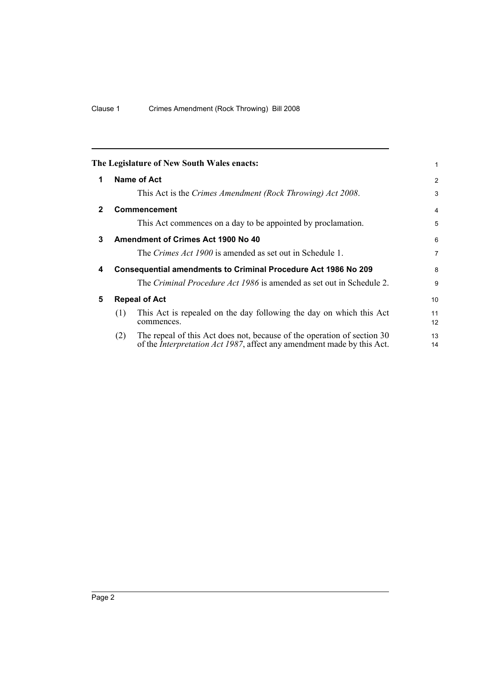<span id="page-5-4"></span><span id="page-5-3"></span><span id="page-5-2"></span><span id="page-5-1"></span><span id="page-5-0"></span>

|                                         |                                                                                                                                                           | 1                                                                                                                                                                                 |  |
|-----------------------------------------|-----------------------------------------------------------------------------------------------------------------------------------------------------------|-----------------------------------------------------------------------------------------------------------------------------------------------------------------------------------|--|
|                                         |                                                                                                                                                           |                                                                                                                                                                                   |  |
|                                         |                                                                                                                                                           | 2                                                                                                                                                                                 |  |
|                                         | This Act is the Crimes Amendment (Rock Throwing) Act 2008.                                                                                                | 3                                                                                                                                                                                 |  |
|                                         |                                                                                                                                                           | 4                                                                                                                                                                                 |  |
|                                         | This Act commences on a day to be appointed by proclamation.                                                                                              | 5                                                                                                                                                                                 |  |
| Amendment of Crimes Act 1900 No 40<br>3 |                                                                                                                                                           |                                                                                                                                                                                   |  |
|                                         | The <i>Crimes Act 1900</i> is amended as set out in Schedule 1.                                                                                           | $\overline{7}$                                                                                                                                                                    |  |
|                                         |                                                                                                                                                           | 8                                                                                                                                                                                 |  |
|                                         | The <i>Criminal Procedure Act 1986</i> is amended as set out in Schedule 2.                                                                               | 9                                                                                                                                                                                 |  |
|                                         |                                                                                                                                                           | 10 <sup>1</sup>                                                                                                                                                                   |  |
| (1)                                     | This Act is repealed on the day following the day on which this Act<br>commences.                                                                         | 11<br>12                                                                                                                                                                          |  |
| (2)                                     | The repeal of this Act does not, because of the operation of section 30<br>of the <i>Interpretation Act 1987</i> , affect any amendment made by this Act. | 13<br>14                                                                                                                                                                          |  |
|                                         |                                                                                                                                                           | The Legislature of New South Wales enacts:<br>Name of Act<br><b>Commencement</b><br><b>Consequential amendments to Criminal Procedure Act 1986 No 209</b><br><b>Repeal of Act</b> |  |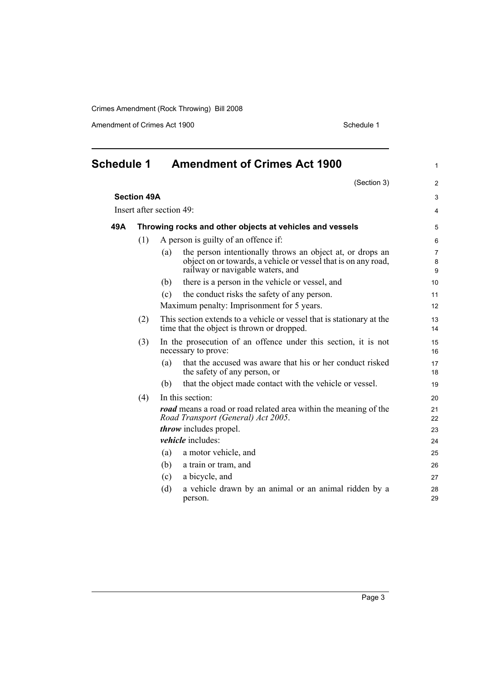Crimes Amendment (Rock Throwing) Bill 2008

Amendment of Crimes Act 1900 Schedule 1

<span id="page-6-0"></span>

| <b>Schedule 1</b>        |                    | <b>Amendment of Crimes Act 1900</b>                                                                                                                                    | $\mathbf{1}$             |
|--------------------------|--------------------|------------------------------------------------------------------------------------------------------------------------------------------------------------------------|--------------------------|
|                          |                    | (Section 3)                                                                                                                                                            | 2                        |
|                          | <b>Section 49A</b> |                                                                                                                                                                        | 3                        |
| Insert after section 49: |                    | $\overline{4}$                                                                                                                                                         |                          |
| 49A                      |                    | Throwing rocks and other objects at vehicles and vessels                                                                                                               | 5                        |
|                          | (1)                | A person is guilty of an offence if:                                                                                                                                   | 6                        |
|                          |                    | the person intentionally throws an object at, or drops an<br>(a)<br>object on or towards, a vehicle or vessel that is on any road,<br>railway or navigable waters, and | $\overline{7}$<br>8<br>9 |
|                          |                    | there is a person in the vehicle or vessel, and<br>(b)                                                                                                                 | 10 <sup>1</sup>          |
|                          |                    | the conduct risks the safety of any person.<br>(c)                                                                                                                     | 11                       |
|                          |                    | Maximum penalty: Imprisonment for 5 years.                                                                                                                             | 12                       |
|                          | (2)                | This section extends to a vehicle or vessel that is stationary at the<br>time that the object is thrown or dropped.                                                    | 13<br>14                 |
|                          | (3)                | In the prosecution of an offence under this section, it is not<br>necessary to prove:                                                                                  | 15<br>16                 |
|                          |                    | that the accused was aware that his or her conduct risked<br>(a)<br>the safety of any person, or                                                                       | 17<br>18                 |
|                          |                    | that the object made contact with the vehicle or vessel.<br>(b)                                                                                                        | 19                       |
|                          | (4)                | In this section:                                                                                                                                                       | 20                       |
|                          |                    | <b>road</b> means a road or road related area within the meaning of the<br>Road Transport (General) Act 2005.                                                          | 21<br>22                 |
|                          |                    | <i>throw</i> includes propel.                                                                                                                                          | 23                       |
|                          |                    | vehicle includes:                                                                                                                                                      | 24                       |
|                          |                    | (a)<br>a motor vehicle, and                                                                                                                                            | 25                       |
|                          |                    | a train or tram, and<br>(b)                                                                                                                                            | 26                       |
|                          |                    | a bicycle, and<br>(c)                                                                                                                                                  | 27                       |
|                          |                    | (d)<br>a vehicle drawn by an animal or an animal ridden by a<br>person.                                                                                                | 28<br>29                 |
|                          |                    |                                                                                                                                                                        |                          |